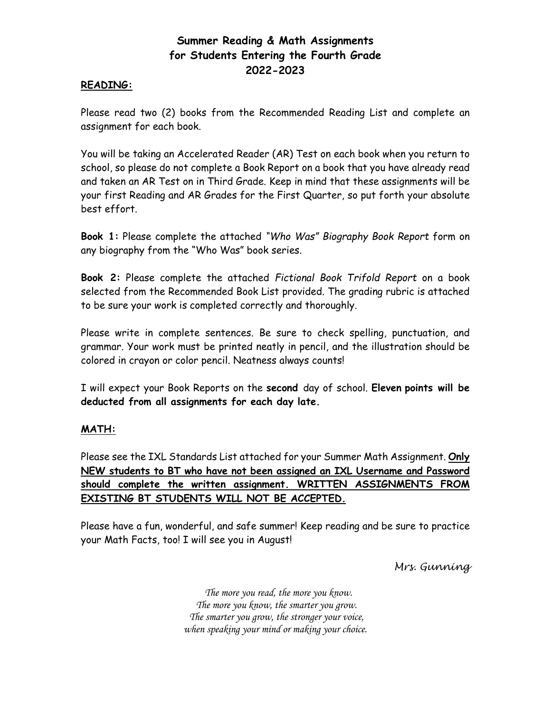## **Summer Reading & Math Assignments for Students Entering the Fourth Grade 2022-2023**

## **READING:**

Please read two (2) books from the Recommended Reading List and complete an assignment for each book.

You will be taking an Accelerated Reader (AR) Test on each book when you return to school, so please do not complete a Book Report on a book that you have already read and taken an AR Test on in Third Grade. Keep in mind that these assignments will be your first Reading and AR Grades for the First Quarter, so put forth your absolute best effort.

**Book 1:** Please complete the attached *"Who Was" Biography Book Report* form on any biography from the "Who Was" book series.

**Book 2:** Please complete the attached *Fictional Book Trifold Report* on a book selected from the Recommended Book List provided. The grading rubric is attached to be sure your work is completed correctly and thoroughly.

Please write in complete sentences. Be sure to check spelling, punctuation, and grammar. Your work must be printed neatly in pencil, and the illustration should be colored in crayon or color pencil. Neatness always counts!

I will expect your Book Reports on the **second** day of school. **Eleven points will be deducted from all assignments for each day late.** 

## **MATH:**

Please see the IXL Standards List attached for your Summer Math Assignment. **Only NEW students to BT who have not been assigned an IXL Username and Password should complete the written assignment. WRITTEN ASSIGNMENTS FROM EXISTING BT STUDENTS WILL NOT BE ACCEPTED.**

Please have a fun, wonderful, and safe summer! Keep reading and be sure to practice your Math Facts, too! I will see you in August!

*Mrs. Gunning*

 *The more you read, the more you know. The more you know, the smarter you grow. The smarter you grow, the stronger your voice, when speaking your mind or making your choice.*